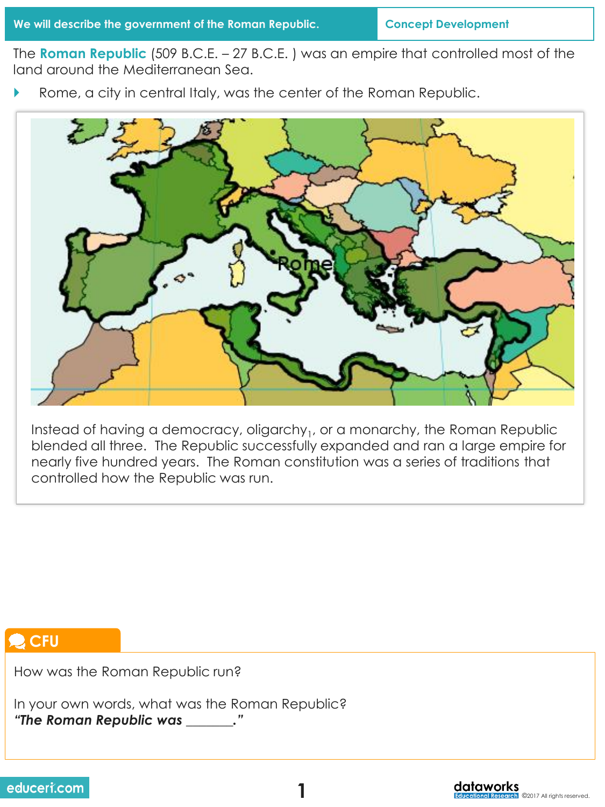The **Roman Republic** (509 B.C.E. – 27 B.C.E. ) was an empire that controlled most of the land around the Mediterranean Sea.

Rome, a city in central Italy, was the center of the Roman Republic.



Instead of having a democracy, oligarchy $_1$ , or a monarchy, the Roman Republic blended all three. The Republic successfully expanded and ran a large empire for nearly five hundred years. The Roman constitution was a series of traditions that controlled how the Republic was run.

# **CFU**

How was the Roman Republic run?

In your own words, what was the Roman Republic? *"The Roman Republic was \_\_\_\_\_\_\_."*



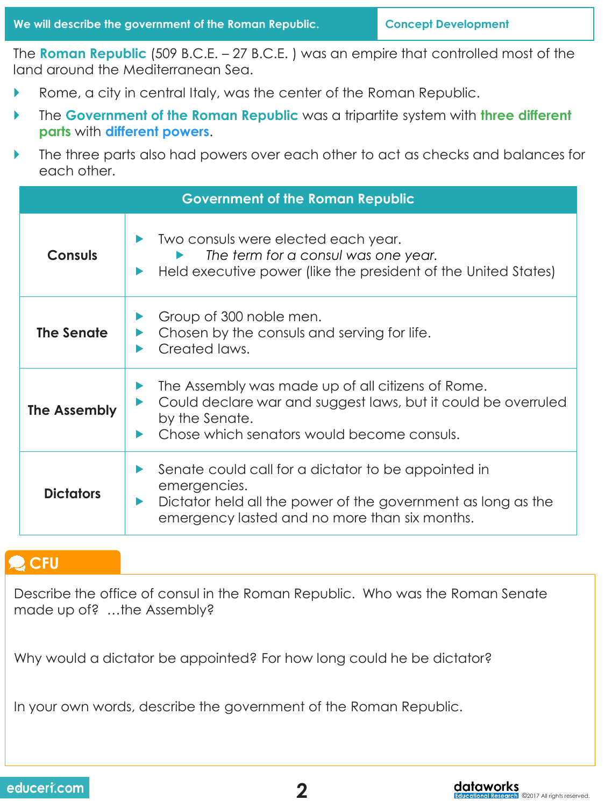The **Roman Republic** (509 B.C.E. – 27 B.C.E. ) was an empire that controlled most of the land around the Mediterranean Sea.

- Rome, a city in central Italy, was the center of the Roman Republic.
- The **Government of the Roman Republic** was a tripartite system with **three different parts** with **different powers**.
- The three parts also had powers over each other to act as checks and balances for each other.

| <b>Government of the Roman Republic</b> |                                                                                                                                                                                      |  |
|-----------------------------------------|--------------------------------------------------------------------------------------------------------------------------------------------------------------------------------------|--|
| <b>Consuls</b>                          | Two consuls were elected each year.<br>The term for a consul was one year.<br>Held executive power (like the president of the United States)                                         |  |
| The Senate                              | Group of 300 noble men.<br>Chosen by the consuls and serving for life.<br>Created laws.                                                                                              |  |
| The Assembly                            | The Assembly was made up of all citizens of Rome.<br>Could declare war and suggest laws, but it could be overruled<br>by the Senate.<br>Chose which sengtors would become consuls.   |  |
| <b>Dictators</b>                        | Senate could call for a dictator to be appointed in<br>emergencies.<br>Dictator held all the power of the government as long as the<br>emergency lasted and no more than six months. |  |

# **CFU**

Describe the office of consul in the Roman Republic. Who was the Roman Senate made up of? …the Assembly?

Why would a dictator be appointed? For how long could he be dictator?

In your own words, describe the government of the Roman Republic.

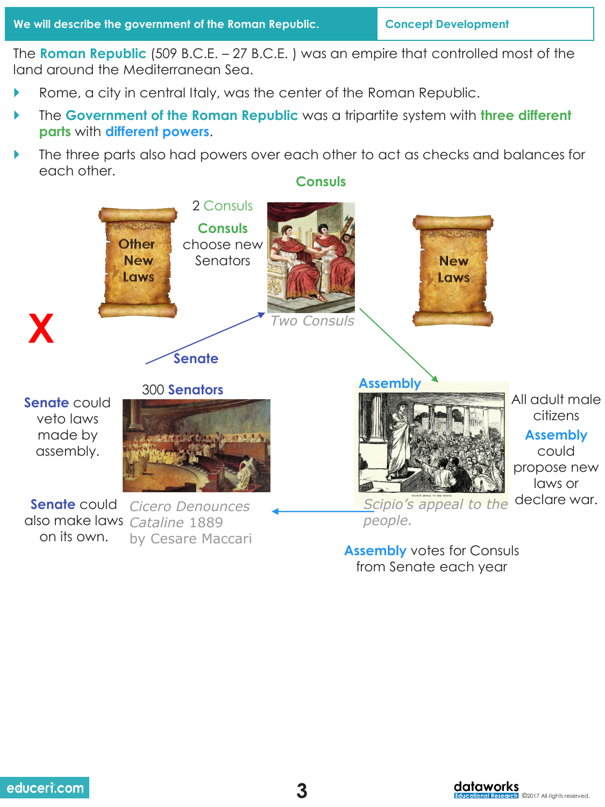The **Roman Republic** (509 B.C.E. – 27 B.C.E. ) was an empire that controlled most of the land around the Mediterranean Sea.

- Rome, a city in central Italy, was the center of the Roman Republic.
- The **Government of the Roman Republic** was a tripartite system with **three different parts** with **different powers**.
- The three parts also had powers over each other to act as checks and balances for each other. **Consuls**



**Assembly** votes for Consuls from Senate each year

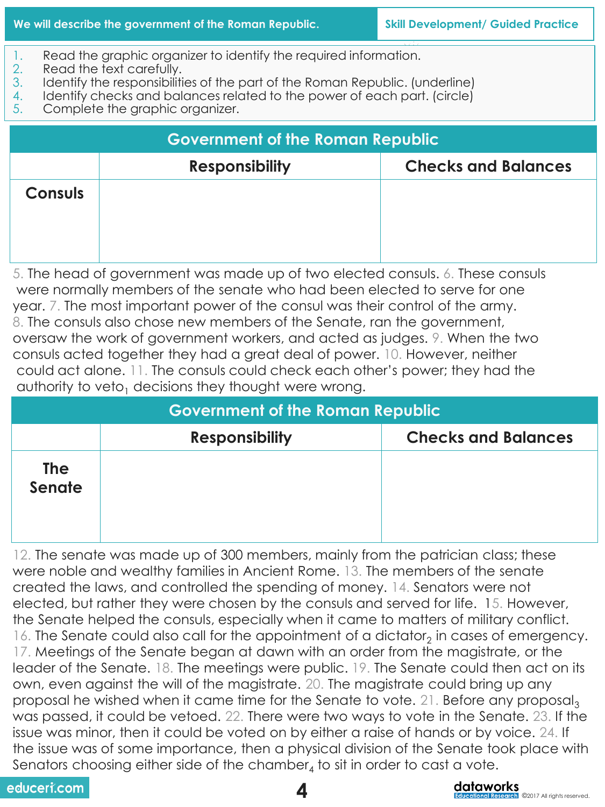- 1. Read the graphic organizer to identify the required information.<br>2. Read the text carefully.
- Read the text carefully.
- 3. Identify the responsibilities of the part of the Roman Republic. (underline)
- 4. Identify checks and balances related to the power of each part. (circle)
- 5. Complete the graphic organizer.

| <b>Government of the Roman Republic</b> |                       |                            |
|-----------------------------------------|-----------------------|----------------------------|
|                                         | <b>Responsibility</b> | <b>Checks and Balances</b> |
| <b>Consuls</b>                          |                       |                            |

5. The head of government was made up of two elected consuls. 6. These consuls were normally members of the senate who had been elected to serve for one year. 7. The most important power of the consul was their control of the army. 8. The consuls also chose new members of the Senate, ran the government, oversaw the work of government workers, and acted as judges. 9. When the two consuls acted together they had a great deal of power. 10. However, neither could act alone. 11. The consuls could check each other's power; they had the authority to veto<sub>1</sub> decisions they thought were wrong.

| <b>Government of the Roman Republic</b> |                       |                            |
|-----------------------------------------|-----------------------|----------------------------|
|                                         | <b>Responsibility</b> | <b>Checks and Balances</b> |
| <b>The</b><br>Senate                    |                       |                            |

12. The senate was made up of 300 members, mainly from the patrician class; these were noble and wealthy families in Ancient Rome. 13. The members of the senate created the laws, and controlled the spending of money. 14. Senators were not elected, but rather they were chosen by the consuls and served for life. 15. However, the Senate helped the consuls, especially when it came to matters of military conflict. 16. The Senate could also call for the appointment of a dictator<sub>2</sub> in cases of emergency. 17. Meetings of the Senate began at dawn with an order from the magistrate, or the leader of the Senate. 18. The meetings were public. 19. The Senate could then act on its own, even against the will of the magistrate. 20. The magistrate could bring up any proposal he wished when it came time for the Senate to vote. 21. Before any proposal, was passed, it could be vetoed. 22. There were two ways to vote in the Senate. 23. If the issue was minor, then it could be voted on by either a raise of hands or by voice. 24. If the issue was of some importance, then a physical division of the Senate took place with Senators choosing either side of the chamber $_4$  to sit in order to cast a vote.

educeri.com



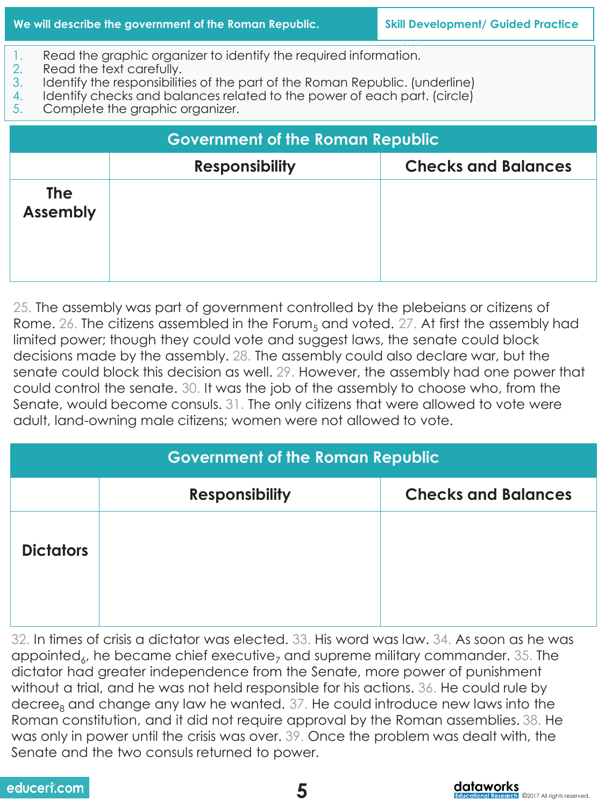- 1. Read the graphic organizer to identify the required information.<br>2. Read the text carefully.
- Read the text carefully.
- 3. Identify the responsibilities of the part of the Roman Republic. (underline)
- 4. Identify checks and balances related to the power of each part. (circle)
- 5. Complete the graphic organizer.

| <b>Government of the Roman Republic</b> |                       |                            |
|-----------------------------------------|-----------------------|----------------------------|
|                                         | <b>Responsibility</b> | <b>Checks and Balances</b> |
| <b>The</b><br><b>Assembly</b>           |                       |                            |

25. The assembly was part of government controlled by the plebeians or citizens of Rome. 26. The citizens assembled in the Forum<sub>5</sub> and voted. 27. At first the assembly had limited power; though they could vote and suggest laws, the senate could block decisions made by the assembly. 28. The assembly could also declare war, but the senate could block this decision as well. 29. However, the assembly had one power that could control the senate. 30. It was the job of the assembly to choose who, from the Senate, would become consuls. 31. The only citizens that were allowed to vote were adult, land-owning male citizens; women were not allowed to vote.

| <b>Government of the Roman Republic</b> |                       |                            |
|-----------------------------------------|-----------------------|----------------------------|
|                                         | <b>Responsibility</b> | <b>Checks and Balances</b> |
| <b>Dictators</b>                        |                       |                            |

32. In times of crisis a dictator was elected. 33. His word was law. 34. As soon as he was appointed<sub>6</sub>, he became chief executive<sub>7</sub> and supreme military commander. 35. The dictator had greater independence from the Senate, more power of punishment without a trial, and he was not held responsible for his actions. 36. He could rule by decree<sub>8</sub> and change any law he wanted.  $37$ . He could introduce new laws into the Roman constitution, and it did not require approval by the Roman assemblies. 38. He was only in power until the crisis was over. 39. Once the problem was dealt with, the Senate and the two consuls returned to power.

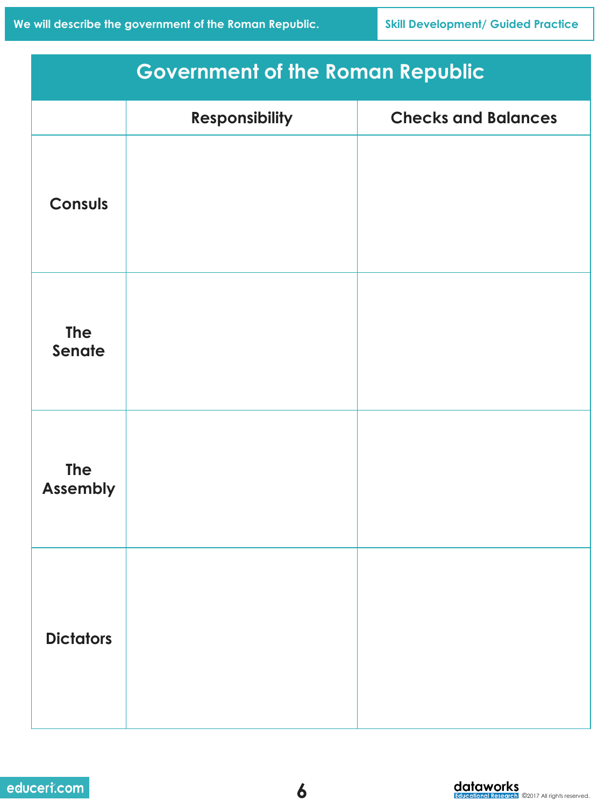| <b>Government of the Roman Republic</b> |                       |                            |
|-----------------------------------------|-----------------------|----------------------------|
|                                         | <b>Responsibility</b> | <b>Checks and Balances</b> |
| <b>Consuls</b>                          |                       |                            |
| <b>The</b><br>Senate                    |                       |                            |
| <b>The</b><br><b>Assembly</b>           |                       |                            |
| <b>Dictators</b>                        |                       |                            |

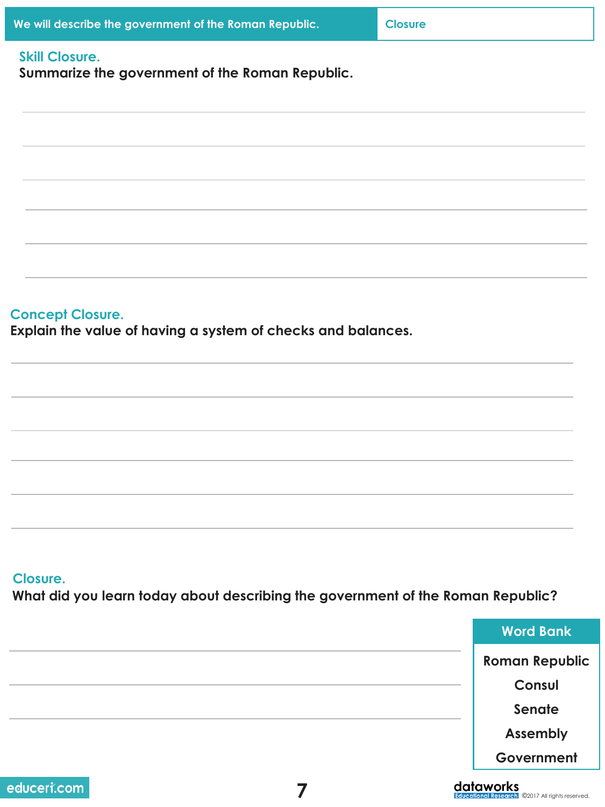| We will describe the government of the Roman Republic.                                      | <b>Closure</b> |                       |
|---------------------------------------------------------------------------------------------|----------------|-----------------------|
| <b>Skill Closure.</b><br>Summarize the government of the Roman Republic.                    |                |                       |
|                                                                                             |                |                       |
|                                                                                             |                |                       |
|                                                                                             |                |                       |
| <b>Concept Closure.</b><br>Explain the value of having a system of checks and balances.     |                |                       |
|                                                                                             |                |                       |
|                                                                                             |                |                       |
|                                                                                             |                |                       |
| Closure.<br>What did you learn today about describing the government of the Roman Republic? |                |                       |
|                                                                                             |                | <b>Word Bank</b>      |
|                                                                                             |                | <b>Roman Republic</b> |
|                                                                                             |                | Consul                |
|                                                                                             |                | Senate                |

**Government**

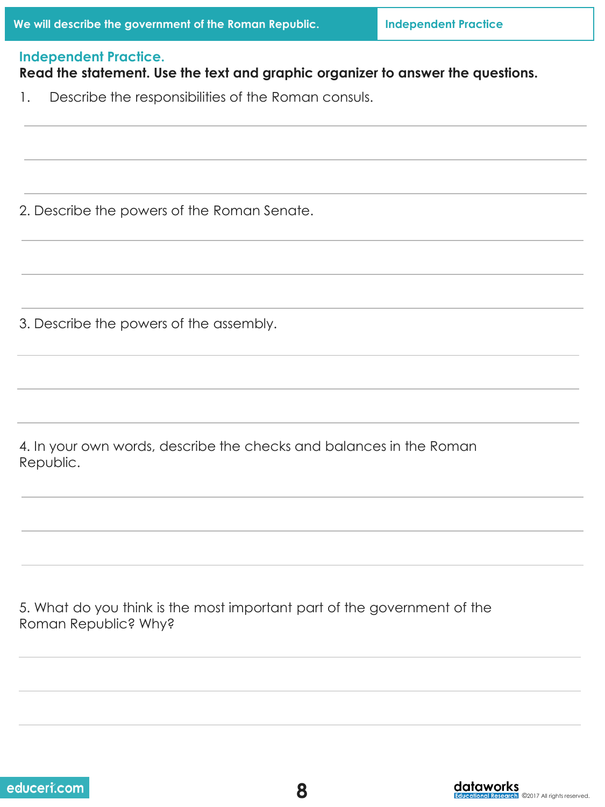#### **Independent Practice.**

## **Read the statement. Use the text and graphic organizer to answer the questions.**

1. Describe the responsibilities of the Roman consuls.

2. Describe the powers of the Roman Senate.

3. Describe the powers of the assembly.

4. In your own words, describe the checks and balances in the Roman Republic.

5. What do you think is the most important part of the government of the Roman Republic? Why?